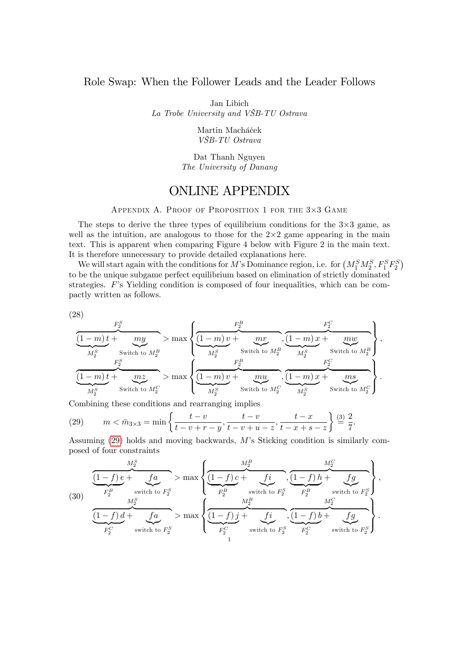### Role Swap: When the Follower Leads and the Leader Follows

Jan Libich

La Trobe University and VäB-TU Ostrava

Martin Macháček VäB-TU Ostrava

Dat Thanh Nguyen The University of Danang

# ONLINE APPENDIX

APPENDIX A. PROOF OF PROPOSITION 1 FOR THE 3×3 GAME

The steps to derive the three types of equilibrium conditions for the  $3\times3$  game, as well as the intuition, are analogous to those for the  $2\times 2$  game appearing in the main text. This is apparent when comparing Figure 4 below with Figure 2 in the main text. It is therefore unnecessary to provide detailed explanations here.

We will start again with the conditions for M's Dominance region, i.e. for  $(M_1^S M_2^S, F_1^S F_2^S)$ to be the unique subgame perfect equilibrium based on elimination of strictly dominated strategies.  $F$ 's Yielding condition is composed of four inequalities, which can be compactly written as follows.

(28)

$$
\frac{\frac{F_2^S}{(1-m)t+\frac{my}{M_2^S}}}{\frac{F_2^S}{M_2^S}} > \max\left\{\underbrace{\frac{F_2^B}{(1-m)v+\frac{mr}{M_2^S}},\underbrace{\frac{F_2^C}{(1-m)x+\frac{mw}{M_2^S}}}}_{\frac{F_2^B}{M_2^S}}\right\},
$$
\n
$$
\frac{\frac{F_2^S}{(1-m)t+\frac{mx}{M_2^S}} > \max\left\{\underbrace{\frac{F_2^B}{(1-m)v+\frac{mu}{M_2^S}},\underbrace{\frac{F_2^C}{(1-m)x+\frac{mx}{M_2^S}}}}_{\text{Switch to } M_2^C},\underbrace{\frac{F_2^C}{(1-m)x+\frac{ms}{M_2^S}}}\right\}.
$$

Combining these conditions and rearranging implies

<span id="page-0-0"></span>(29) 
$$
m < \bar{m}_{3\times 3} = \min\left\{\frac{t-v}{t-v+r-y}, \frac{t-v}{t-v+u-z}, \frac{t-x}{t-x+s-z}\right\} \stackrel{(3)}{=} \frac{2}{7}.
$$

Assuming  $(29)$  holds and moving backwards, M's Sticking condition is similarly composed of four constraints

(30) 
$$
\frac{M_2^S}{F_2^B} + f_a \to \max \left\{ \underbrace{\frac{M_2^B}{(1-f) c + f_a}}, \underbrace{f i}{(1-f) h + f_a} \right\},
$$

$$
\underbrace{\frac{M_2^S}{F_2^B} + f a \text{ with to } F_2^S}_{F_2^C} \to \max \left\{ \underbrace{\frac{M_2^B}{(1-f) f + f_a}}, \underbrace{\frac{f i}{(1-f) h + f_a}}_{F_2^C} \right\},
$$

$$
\underbrace{\frac{M_2^C}{(1-f) f + f_a}}, \underbrace{\frac{M_2^C}{(1-f) f + f_a}}_{F_2^C} \to \min \left\{ \frac{M_2^C}{F_2^C} + f a \text{ with to } F_2^S} \right\}.
$$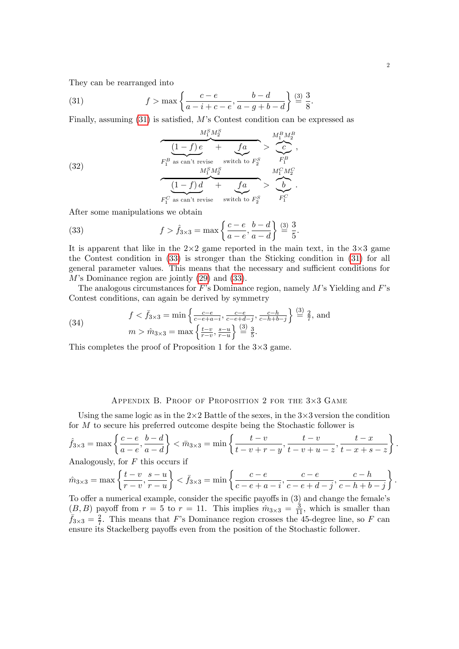They can be rearranged into

<span id="page-1-0"></span>(31) 
$$
f > \max \left\{ \frac{c-e}{a-i+c-e}, \frac{b-d}{a-g+b-d} \right\} \stackrel{(3)}{=} \frac{3}{8}.
$$

Finally, assuming  $(31)$  is satisfied, M's Contest condition can be expressed as

(32)  
\n
$$
\frac{M_1^S M_2^S}{F_1^B \text{ as can't revise}} + f a \gt \frac{M_1^B M_2^B}{F_1^B},
$$
\n
$$
\frac{M_1^S M_2^S}{F_1^B \text{ as can't revise}} + f a \gt \frac{M_1^C M_2^C}{F_1^C}
$$
\n
$$
\frac{(1-f) d}{F_1^C \text{ as can't revise}} + f a \gt \frac{M_1^C M_2^C}{F_1^C}.
$$

After some manipulations we obtain

<span id="page-1-1"></span>(33) 
$$
f > \hat{f}_{3\times 3} = \max\left\{\frac{c-e}{a-e}, \frac{b-d}{a-d}\right\} \stackrel{(3)}{=} \frac{3}{5}.
$$

It is apparent that like in the  $2\times 2$  game reported in the main text, in the  $3\times 3$  game the Contest condition in [\(33\)](#page-1-1) is stronger than the Sticking condition in [\(31\)](#page-1-0) for all general parameter values. This means that the necessary and sufficient conditions for  $M$ 's Dominance region are jointly  $(29)$  and  $(33)$ .

The analogous circumstances for F's Dominance region, namely  $M$ 's Yielding and F's Contest conditions, can again be derived by symmetry

(34) 
$$
f < \bar{f}_{3\times 3} = \min\left\{\frac{c-e}{c-e+a-i}, \frac{c-e}{c-e+d-j}, \frac{c-h}{c-h+b-j}\right\} \stackrel{(3)}{=} \frac{2}{7}, \text{ and}
$$

$$
m > \hat{m}_{3\times 3} = \max\left\{\frac{t-v}{r-v}, \frac{s-u}{r-u}\right\} \stackrel{(3)}{=} \frac{3}{5}.
$$

This completes the proof of Proposition 1 for the  $3\times3$  game.

## APPENDIX B. PROOF OF PROPOSITION 2 FOR THE 3×3 GAME

Using the same logic as in the  $2\times 2$  Battle of the sexes, in the  $3\times 3$  version the condition for M to secure his preferred outcome despite being the Stochastic follower is

$$
\hat{f}_{3\times 3} = \max\left\{\frac{c-e}{a-e}, \frac{b-d}{a-d}\right\} < \bar{m}_{3\times 3} = \min\left\{\frac{t-v}{t-v+r-y}, \frac{t-v}{t-v+u-z}, \frac{t-x}{t-x+s-z}\right\}.
$$

Analogously, for  $F$  this occurs if

$$
\hat{m}_{3\times 3} = \max\left\{\frac{t-v}{r-v}, \frac{s-u}{r-u}\right\} < \bar{f}_{3\times 3} = \min\left\{\frac{c-e}{c-e+a-i}, \frac{c-e}{c-e+d-j}, \frac{c-h}{c-h+b-j}\right\}.
$$

To offer a numerical example, consider the specific payoffs in  $(3)$  and change the female's  $(B, B)$  payoff from  $r = 5$  to  $r = 11$ . This implies  $\hat{m}_{3\times 3} = \frac{3}{11}$ , which is smaller than  $\bar{f}_{3\times 3} = \frac{2}{7}$  $\frac{2}{7}$ . This means that F's Dominance region crosses the 45-degree line, so F can ensure its Stackelberg payoffs even from the position of the Stochastic follower.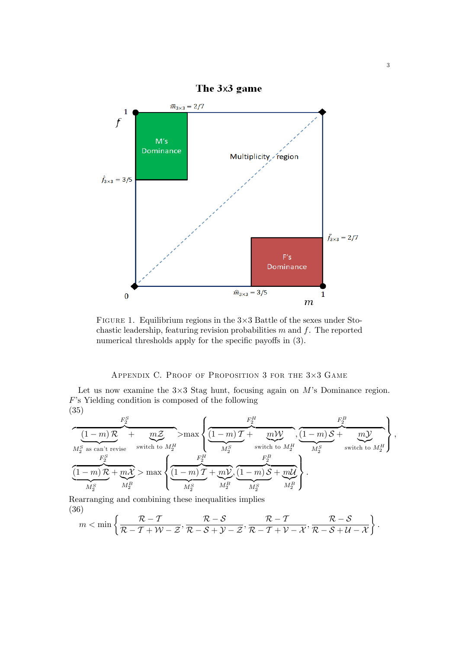

FIGURE 1. Equilibrium regions in the  $3\times3$  Battle of the sexes under Stochastic leadership, featuring revision probabilities  $m$  and  $f$ . The reported numerical thresholds apply for the specific payoffs in  $(3)$ .

## APPENDIX C. PROOF OF PROPOSITION 3 FOR THE 3×3 GAME

Let us now examine the  $3\times3$  Stag hunt, focusing again on M's Dominance region.  $F$ 's Yielding condition is composed of the following (35)

$$
\frac{\left(1-m\right) \mathcal{R}}{\displaystyle\mu_{2}^{S} \text{ as can't revise}} + \underbrace{m \mathcal{Z}}_{\text{switch to } M^{H}_{2}} > \max\left\{\underbrace{\frac{F_{2}^{H}}{\displaystyle(1-m)\, \mathcal{T}} + \underbrace{m \mathcal{W}}_{M^{S}_{2}} \text{, } \frac{\left(1-m\right) \mathcal{S}}_{M^{S}_{2}} + \underbrace{m \mathcal{Y}}_{M^{S}_{2}} \text{),}}_{\text{switch to } M^{H}_{2}} \right\},
$$
\n
$$
\underbrace{\frac{F_{2}^{S}}{\displaystyle(1-m)\, \mathcal{R}} + \underbrace{m \mathcal{X}}_{M^{B}_{2}} > \max\left\{\underbrace{\frac{F_{2}^{H}}{\displaystyle(1-m)\, \mathcal{T}} + \underbrace{m \mathcal{V}}_{M^{S}_{2}} \text{, } \frac{F_{2}^{B}}{\displaystyle M^{S}_{2}} \text{, } \frac{F_{2}^{B}}{\displaystyle M^{S}_{2}} \text{, } \frac{F_{2}^{B}}{\displaystyle M^{S}_{2}} \right\}}_{\text{in } M^{B}_{2}}.
$$

<span id="page-2-0"></span>Rearranging and combining these inequalities implies (36)

$$
m < \min\left\{\frac{\mathcal{R}-\mathcal{T}}{\mathcal{R}-\mathcal{T}+\mathcal{W}-\mathcal{Z}}, \frac{\mathcal{R}-\mathcal{S}}{\mathcal{R}-\mathcal{S}+\mathcal{Y}-\mathcal{Z}}, \frac{\mathcal{R}-\mathcal{T}}{\mathcal{R}-\mathcal{T}+\mathcal{V}-\mathcal{X}}, \frac{\mathcal{R}-\mathcal{S}}{\mathcal{R}-\mathcal{S}+\mathcal{U}-\mathcal{X}}\right\}.
$$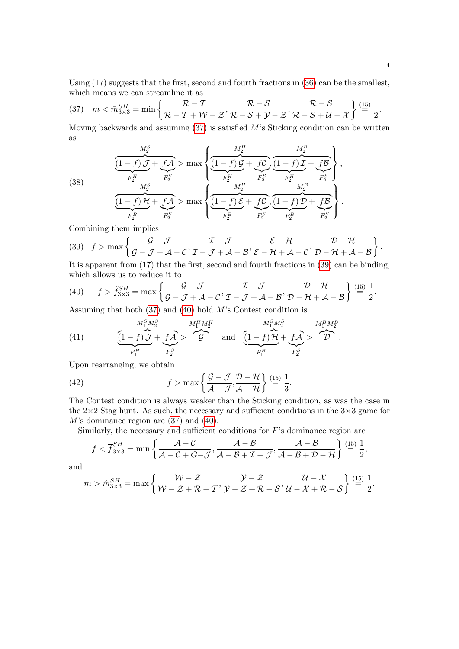Using  $(17)$  suggests that the first, second and fourth fractions in  $(36)$  can be the smallest, which means we can streamline it as

<span id="page-3-0"></span>(37) 
$$
m < \bar{m}_{3\times 3}^{SH} = \min \left\{ \frac{\mathcal{R} - \mathcal{T}}{\mathcal{R} - \mathcal{T} + \mathcal{W} - \mathcal{Z}}, \frac{\mathcal{R} - \mathcal{S}}{\mathcal{R} - \mathcal{S} + \mathcal{Y} - \mathcal{Z}}, \frac{\mathcal{R} - \mathcal{S}}{\mathcal{R} - \mathcal{S} + \mathcal{U} - \mathcal{X}} \right\} \stackrel{(15)}{=} \frac{1}{2}.
$$

Moving backwards and assuming  $(37)$  is satisfied M's Sticking condition can be written as

(38) 
$$
\frac{M_2^S}{F_2^H} + f\mathcal{A} > \max \left\{ \underbrace{\frac{M_2^H}{(1-f) \mathcal{G} + f\mathcal{C}}}_{F_2^H}, \underbrace{\frac{M_2^B}{(1-f) \mathcal{G} + f\mathcal{C}}}_{F_2^H}, \underbrace{\frac{M_2^B}{F_2^H}}_{F_2^S}, \underbrace{\frac{M_2^B}{F_2^H}}_{F_2^B}, \underbrace{\frac{M_2^B}{F_2^B}}_{F_2^B}, \underbrace{\frac{M_2^B}{F_2^B}}_{F_2^B}, \underbrace{\frac{M_2^B}{F_2^B}}_{F_2^B}, \underbrace{\frac{M_2^B}{F_2^B}}_{F_2^B} \right\}.
$$

Combining them implies

<span id="page-3-1"></span>(39) 
$$
f > \max \left\{ \frac{\mathcal{G} - \mathcal{J}}{\mathcal{G} - \mathcal{J} + \mathcal{A} - \mathcal{C}}, \frac{\mathcal{I} - \mathcal{J}}{\mathcal{I} - \mathcal{J} + \mathcal{A} - \mathcal{B}}, \frac{\mathcal{E} - \mathcal{H}}{\mathcal{E} - \mathcal{H} + \mathcal{A} - \mathcal{C}}, \frac{\mathcal{D} - \mathcal{H}}{\mathcal{D} - \mathcal{H} + \mathcal{A} - \mathcal{B}} \right\}.
$$

It is apparent from  $(17)$  that the first, second and fourth fractions in  $(39)$  can be binding, which allows us to reduce it to

<span id="page-3-2"></span>(40) 
$$
f > \hat{f}_{3\times 3}^{SH} = \max \left\{ \frac{\mathcal{G} - \mathcal{J}}{\mathcal{G} - \mathcal{J} + \mathcal{A} - \mathcal{C}}, \frac{\mathcal{I} - \mathcal{J}}{\mathcal{I} - \mathcal{J} + \mathcal{A} - \mathcal{B}}, \frac{\mathcal{D} - \mathcal{H}}{\mathcal{D} - \mathcal{H} + \mathcal{A} - \mathcal{B}} \right\} \stackrel{(15)}{=} \frac{1}{2}.
$$

Assuming that both  $(37)$  and  $(40)$  hold M's Contest condition is

(41) 
$$
\underbrace{\underbrace{(1-f)\mathcal{J}}_{F_1^H} + f\mathcal{A}}_{F_2^S} > \underbrace{\mathcal{J}^{M_1^H M_2^H}_{F_2^S}}_{F_2^S} \quad \text{and} \quad \underbrace{\underbrace{(1-f)\mathcal{H}}_{F_1^B} + f\mathcal{A}}_{F_1^S} > \underbrace{\mathcal{J}^{M_1^B M_2^B}_{F_2^S}}_{F_2^S}.
$$

Upon rearranging, we obtain

(42) 
$$
f > \max\left\{\frac{\mathcal{G} - \mathcal{J}}{\mathcal{A} - \mathcal{J}}, \frac{\mathcal{D} - \mathcal{H}}{\mathcal{A} - \mathcal{H}}\right\} \stackrel{(15)}{=} \frac{1}{3}.
$$

The Contest condition is always weaker than the Sticking condition, as was the case in the  $2\times 2$  Stag hunt. As such, the necessary and sufficient conditions in the  $3\times 3$  game for  $M$ 's dominance region are  $(37)$  and  $(40)$ .

Similarly, the necessary and sufficient conditions for  $F$ 's dominance region are

$$
f < \overline{f}_{3\times 3}^{SH} = \min\left\{\frac{\mathcal{A} - \mathcal{C}}{\mathcal{A} - \mathcal{C} + G - \mathcal{J}}, \frac{\mathcal{A} - \mathcal{B}}{\mathcal{A} - \mathcal{B} + \mathcal{I} - \mathcal{J}}, \frac{\mathcal{A} - \mathcal{B}}{\mathcal{A} - \mathcal{B} + \mathcal{D} - \mathcal{H}}\right\} \stackrel{(15)}{=} \frac{1}{2},
$$

and

$$
m > \hat{m}_{3\times 3}^{SH} = \max\left\{\frac{\mathcal{W} - \mathcal{Z}}{\mathcal{W} - \mathcal{Z} + \mathcal{R} - \mathcal{T}}, \frac{\mathcal{Y} - \mathcal{Z}}{\mathcal{Y} - \mathcal{Z} + \mathcal{R} - \mathcal{S}}, \frac{\mathcal{U} - \mathcal{X}}{\mathcal{U} - \mathcal{X} + \mathcal{R} - \mathcal{S}}\right\} \stackrel{(15)}{=} \frac{1}{2}.
$$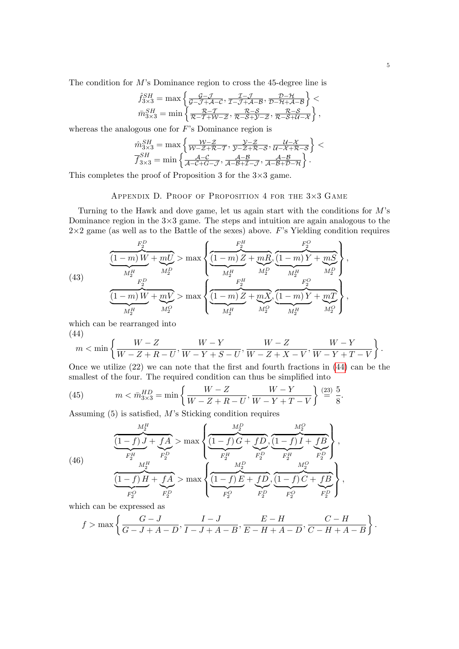The condition for  $M$ 's Dominance region to cross the 45-degree line is

$$
\begin{array}{l} \hat{f}_{3\times 3}^{SH}=\max\left\{\frac{\mathcal{G}-\mathcal{J}}{\mathcal{G}-\mathcal{J}+\mathcal{A}-\mathcal{C}},\frac{\mathcal{I}-\mathcal{J}}{\mathcal{I}-\mathcal{J}+\mathcal{A}-\mathcal{B}},\frac{\mathcal{D}-\mathcal{H}}{\mathcal{D}-\mathcal{H}+\mathcal{A}-\mathcal{B}}\right\}< \\ \bar{m}_{3\times 3}^{SH}=\min\left\{\frac{\mathcal{R}-\mathcal{T}}{\mathcal{R}-\mathcal{I}+\mathcal{W}-\mathcal{Z}},\frac{\mathcal{R}-\mathcal{S}}{\mathcal{R}-\mathcal{S}+\mathcal{Y}-\mathcal{Z}},\frac{\mathcal{R}-\mathcal{S}}{\mathcal{R}-\mathcal{S}+\mathcal{U}-\mathcal{X}}\right\}, \end{array}
$$

whereas the analogous one for  $F$ 's Dominance region is

$$
\hat{m}_{3\times 3}^{SH} = \max\left\{\frac{\mathcal{W}-\mathcal{Z}}{\mathcal{W}-\mathcal{Z}+\mathcal{R}-\mathcal{T}},\frac{\mathcal{Y}-\mathcal{Z}}{\mathcal{Y}-\mathcal{Z}+\mathcal{R}-\mathcal{S}},\frac{\mathcal{U}-\mathcal{X}}{\mathcal{U}-\mathcal{X}+\mathcal{R}-\mathcal{S}}\right\} < \frac{F_{3\times 3}^{SH}}{f_{3\times 3}^{SH}} = \min\left\{\frac{\mathcal{A}-\mathcal{C}}{\mathcal{A}-\mathcal{C}-\mathcal{J}},\frac{\mathcal{A}-\mathcal{B}}{\mathcal{A}-\mathcal{B}+\mathcal{I}-\mathcal{J}},\frac{\mathcal{A}-\mathcal{B}}{\mathcal{A}-\mathcal{B}+\mathcal{D}-\mathcal{H}}\right\}.
$$

This completes the proof of Proposition 3 for the  $3\times3$  game.

## APPENDIX D. PROOF OF PROPOSITION 4 FOR THE 3×3 GAME

Turning to the Hawk and dove game, let us again start with the conditions for  $M$ 's Dominance region in the  $3\times3$  game. The steps and intuition are again analogous to the  $2\times 2$  game (as well as to the Battle of the sexes) above. F's Yielding condition requires

(43) 
$$
\frac{F_2^D}{M_2^H} + mU > \max \left\{ \underbrace{\frac{F_2^H}{(1-m) Z + mR}}_{M_2^H}, \underbrace{\frac{F_2^G}{(1-m) Y + mS}}_{M_2^H}, \underbrace{\frac{F_2^G}{M_2^H}}_{M_2^H}, \underbrace{\frac{F_2^G}{M_2^H}}_{M_2^H}, \underbrace{\frac{F_2^G}{M_2^H}}_{M_2^H}, \underbrace{\frac{F_2^G}{M_2^H}}_{M_2^H}, \underbrace{\frac{F_2^G}{M_2^H}}_{M_2^H}, \underbrace{\frac{F_2^G}{M_2^H}}_{M_2^H}, \underbrace{\frac{F_2^G}{M_2^H}}_{M_2^H}, \underbrace{\frac{F_2^G}{M_2^H}}_{M_2^H}, \underbrace{\frac{F_2^G}{M_2^H}}_{M_2^H}, \underbrace{\frac{F_2^G}{M_2^H}}_{M_2^H}, \underbrace{\frac{F_2^G}{M_2^H}}_{M_2^H}, \underbrace{\frac{F_2^G}{M_2^H}}_{M_2^H}, \underbrace{\frac{F_2^G}{M_2^H}}_{M_2^H}, \underbrace{\frac{F_2^G}{M_2^H}}_{M_2^H}, \underbrace{\frac{F_2^G}{M_2^H}}_{M_2^H}, \underbrace{\frac{F_2^G}{M_2^H}}_{M_2^H}, \underbrace{\frac{F_2^G}{M_2^H}}_{M_2^H}, \underbrace{\frac{F_2^G}{M_2^H}}_{M_2^H}, \underbrace{\frac{F_2^G}{M_2^H}}_{M_2^H}, \underbrace{\frac{F_2^G}{M_2^H}}_{M_2^H}, \underbrace{\frac{F_2^G}{M_2^H}}_{M_2^H}, \underbrace{\frac{F_2^G}{M_2^H}}_{M_2^H}, \underbrace{\frac{F_2^G}{M_2^H}}_{M_2^H}, \underbrace{\frac{F_2^G}{M_2^H}}_{M_2^H}, \underbrace{\frac{F_2^G}{M_2^H}}_{M_2^H}, \underbrace{\frac{F_2^G}{M_2^H}}_{M_2^H}, \underbrace{\frac{F_2^G}{M_2^H}}_{M_2^H},
$$

which can be rearranged into

<span id="page-4-0"></span>(44)  
\n
$$
m < \min \left\{ \frac{W - Z}{W - Z + R - U}, \frac{W - Y}{W - Y + S - U}, \frac{W - Z}{W - Z + X - V}, \frac{W - Y}{W - Y + T - V} \right\}.
$$

Once we utilize  $(22)$  we can note that the first and fourth fractions in  $(44)$  can be the smallest of the four. The required condition can thus be simplified into

(45) 
$$
m < \bar{m}_{3\times 3}^{HD} = \min\left\{\frac{W - Z}{W - Z + R - U}, \frac{W - Y}{W - Y + T - V}\right\} \stackrel{(23)}{=} \frac{5}{8}.
$$

Assuming  $(5)$  is satisfied, M's Sticking condition requires

(46)  
\n
$$
\frac{M_2^H}{F_2^H} \longrightarrow \max \left\{ \underbrace{\frac{M_2^D}{(1-f)G} + fD}_{F_2^H}, \underbrace{\frac{M_2^D}{(1-f)G} + fD}_{F_2^H}, \underbrace{\frac{M_2^D}{F_2^H}}_{F_2^B}, \underbrace{\frac{M_2^D}{F_2^H}}_{F_2^D}, \underbrace{\frac{M_2^D}{F_2^H}}_{F_2^D}, \underbrace{\frac{M_2^O}{F_2^H}}_{F_2^D}, \underbrace{\frac{M_2^O}{F_2^H}}_{F_2^D}, \underbrace{\frac{M_2^O}{F_2^H}}_{F_2^D}, \underbrace{\frac{M_2^O}{F_2^H}}_{F_2^D}, \underbrace{\frac{M_2^O}{F_2^H}}_{F_2^D}, \underbrace{\frac{M_2^O}{F_2^H}}_{F_2^D}, \underbrace{\frac{M_2^O}{F_2^H}}_{F_2^D}, \underbrace{\frac{M_2^O}{F_2^H}}_{F_2^D}, \underbrace{\frac{M_2^O}{F_2^H}}_{F_2^D}, \underbrace{\frac{M_2^O}{F_2^H}}_{F_2^D}, \underbrace{\frac{M_2^O}{F_2^H}}_{F_2^D}, \underbrace{\frac{M_2^O}{F_2^H}}_{F_2^D}, \underbrace{\frac{M_2^O}{F_2^H}}_{F_2^D}, \underbrace{\frac{M_2^O}{F_2^H}}_{F_2^D}, \underbrace{\frac{M_2^O}{F_2^H}}_{F_2^D}, \underbrace{\frac{M_2^O}{F_2^H}}_{F_2^D}, \underbrace{\frac{M_2^O}{F_2^H}}_{F_2^D}, \underbrace{\frac{M_2^O}{F_2^H}}_{F_2^D}, \underbrace{\frac{M_2^O}{F_2^H}}_{F_2^D}, \underbrace{\frac{M_2^O}{F_2^H}}_{F_2^D}, \underbrace{\frac{M_2^O}{F_2^H}}_{F_2^D}, \underbrace{\frac{M_2^O}{F_2^H}}_{F_2^D}, \underbrace{\frac{M_2^O}{F_2^H}}_{F_2^D}, \underbrace{\frac{M_2^O}{F_2^H}}_{F_2^D
$$

which can be expressed as

$$
f > \max \left\{ \frac{G - J}{G - J + A - D}, \frac{I - J}{I - J + A - B}, \frac{E - H}{E - H + A - D}, \frac{C - H}{C - H + A - B} \right\}.
$$